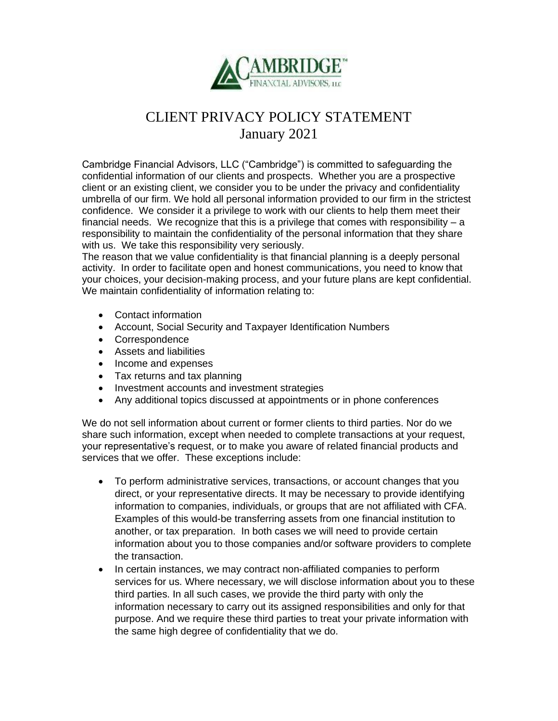

## CLIENT PRIVACY POLICY STATEMENT January 2021

Cambridge Financial Advisors, LLC ("Cambridge") is committed to safeguarding the confidential information of our clients and prospects. Whether you are a prospective client or an existing client, we consider you to be under the privacy and confidentiality umbrella of our firm. We hold all personal information provided to our firm in the strictest confidence. We consider it a privilege to work with our clients to help them meet their financial needs. We recognize that this is a privilege that comes with responsibility  $- a$ responsibility to maintain the confidentiality of the personal information that they share with us. We take this responsibility very seriously.

The reason that we value confidentiality is that financial planning is a deeply personal activity. In order to facilitate open and honest communications, you need to know that your choices, your decision-making process, and your future plans are kept confidential. We maintain confidentiality of information relating to:

- Contact information
- Account, Social Security and Taxpayer Identification Numbers
- Correspondence
- Assets and liabilities
- Income and expenses
- Tax returns and tax planning
- Investment accounts and investment strategies
- Any additional topics discussed at appointments or in phone conferences

We do not sell information about current or former clients to third parties. Nor do we share such information, except when needed to complete transactions at your request, your representative's request, or to make you aware of related financial products and services that we offer. These exceptions include:

- To perform administrative services, transactions, or account changes that you direct, or your representative directs. It may be necessary to provide identifying information to companies, individuals, or groups that are not affiliated with CFA. Examples of this would-be transferring assets from one financial institution to another, or tax preparation. In both cases we will need to provide certain information about you to those companies and/or software providers to complete the transaction.
- In certain instances, we may contract non-affiliated companies to perform services for us. Where necessary, we will disclose information about you to these third parties. In all such cases, we provide the third party with only the information necessary to carry out its assigned responsibilities and only for that purpose. And we require these third parties to treat your private information with the same high degree of confidentiality that we do.